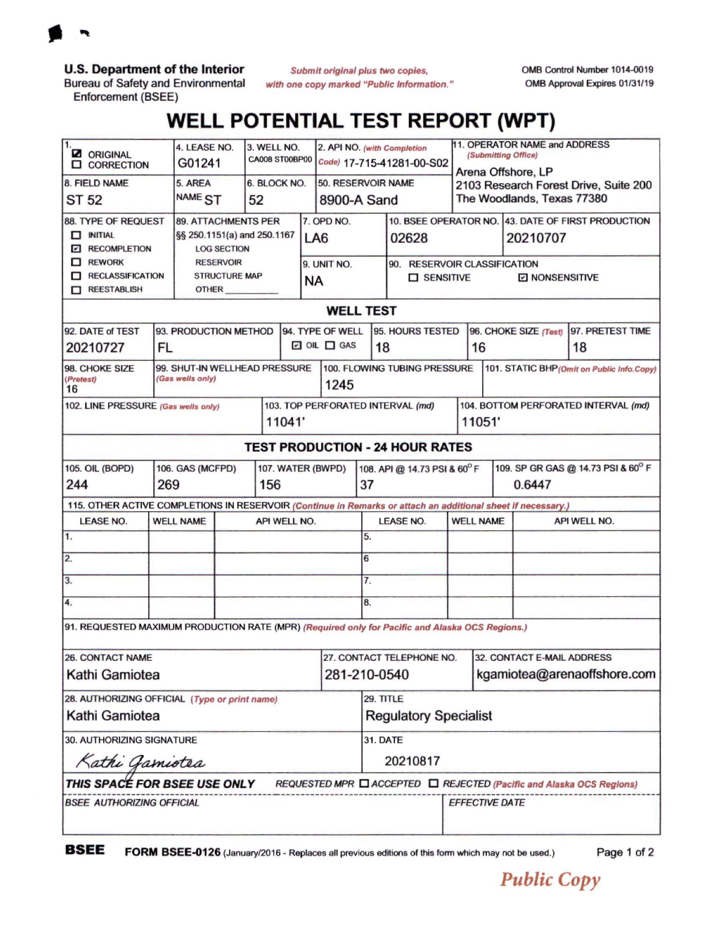

**U.S. Department of the Interior**

Bureau of Safety and Environmental Enforcement (BSEE)

*Submit original plus two copies, with one copy marked "Public Information*." OMB Control Number 1014-0019 OMB Approval Expires 01/31/19

## **WELL POTENTIAL TEST REPORT (WPT)**

| 1.<br><b>Z</b> ORIGINAL<br><b>ID</b> CORRECTION                                                                           |                                    | 4. LEASE NO.<br>G01241                                                                                                                      |  | 3. WELL NO.<br><b>CA008 ST00BP00</b> |                          | 2. API NO. (with Completion<br>Code) 17-715-41281-00-S02  |                                           |                              | 11. OPERATOR NAME and ADDRESS<br>(Submitting Office)                                      |                              |                                                |                                                                                         |                        |  |
|---------------------------------------------------------------------------------------------------------------------------|------------------------------------|---------------------------------------------------------------------------------------------------------------------------------------------|--|--------------------------------------|--------------------------|-----------------------------------------------------------|-------------------------------------------|------------------------------|-------------------------------------------------------------------------------------------|------------------------------|------------------------------------------------|-----------------------------------------------------------------------------------------|------------------------|--|
| 8. FIELD NAME<br>ST 52                                                                                                    |                                    | 5. AREA<br>NAME <sub>ST</sub>                                                                                                               |  | 52                                   | 6. BLOCK NO.             | 50. RESERVOIR NAME<br>8900-A Sand                         |                                           |                              | Arena Offshore, LP<br>2103 Research Forest Drive, Suite 200<br>The Woodlands, Texas 77380 |                              |                                                |                                                                                         |                        |  |
| 88. TYPE OF REQUEST<br>$\Box$ INITIAL<br><b>Z RECOMPLETION</b><br>$\Box$ REWORK<br><b>RECLASSIFICATION</b><br>REESTABLISH |                                    | <b>89. ATTACHMENTS PER</b><br>§§ 250.1151(a) and 250.1167<br><b>LOG SECTION</b><br><b>RESERVOIR</b><br><b>STRUCTURE MAP</b><br><b>OTHER</b> |  |                                      |                          | 7. OPD NO.<br>LA <sub>6</sub><br>9. UNIT NO.<br><b>NA</b> |                                           |                              | 02628<br>90. RESERVOIR CLASSIFICATION<br><b>O</b> SENSITIVE                               |                              |                                                | 10. BSEE OPERATOR NO. 43. DATE OF FIRST PRODUCTION<br>20210707<br><b>E NONSENSITIVE</b> |                        |  |
| <b>WELL TEST</b>                                                                                                          |                                    |                                                                                                                                             |  |                                      |                          |                                                           |                                           |                              |                                                                                           |                              |                                                |                                                                                         |                        |  |
| 92. DATE of TEST<br>20210727                                                                                              | 93. PRODUCTION METHOD<br><b>FL</b> |                                                                                                                                             |  |                                      |                          |                                                           | 94. TYPE OF WELL<br>$\Box$ OIL $\Box$ GAS |                              | 95. HOURS TESTED<br>18                                                                    |                              | 96. CHOKE SIZE (Test)<br>16                    |                                                                                         | 97. PRETEST TIME<br>18 |  |
| 98. CHOKE SIZE<br>(Pretest)<br>16                                                                                         |                                    | 99. SHUT-IN WELLHEAD PRESSURE<br>(Gas wells only)                                                                                           |  |                                      |                          |                                                           | 1245                                      | 100. FLOWING TUBING PRESSURE |                                                                                           |                              |                                                | 101. STATIC BHP (Omit on Public Info.Copy)                                              |                        |  |
| 102. LINE PRESSURE (Gas wells only)<br>11041'                                                                             |                                    |                                                                                                                                             |  |                                      |                          | 103. TOP PERFORATED INTERVAL (md)                         |                                           |                              |                                                                                           |                              | 104. BOTTOM PERFORATED INTERVAL (md)<br>11051' |                                                                                         |                        |  |
| <b>TEST PRODUCTION - 24 HOUR RATES</b>                                                                                    |                                    |                                                                                                                                             |  |                                      |                          |                                                           |                                           |                              |                                                                                           |                              |                                                |                                                                                         |                        |  |
| <b>105. OIL (BOPD)</b><br>106. GAS (MCFPD)<br>244<br>269                                                                  |                                    |                                                                                                                                             |  |                                      | 107. WATER (BWPD)<br>156 |                                                           |                                           |                              | 108. API @ 14.73 PSI & 60°F<br>37                                                         |                              |                                                | 109. SP GR GAS @ 14.73 PSI & 60° F<br>0.6447                                            |                        |  |
| 115. OTHER ACTIVE COMPLETIONS IN RESERVOIR (Continue in Remarks or attach an additional sheet if necessary.)              |                                    |                                                                                                                                             |  |                                      |                          |                                                           |                                           |                              |                                                                                           |                              |                                                |                                                                                         |                        |  |
| <b>LEASE NO.</b>                                                                                                          | <b>WELL NAME</b>                   |                                                                                                                                             |  | API WELL NO.                         |                          |                                                           |                                           |                              | <b>LEASE NO.</b>                                                                          |                              | <b>WELL NAME</b>                               | API WELL NO.                                                                            |                        |  |
| $\overline{1}$ .                                                                                                          |                                    |                                                                                                                                             |  |                                      |                          |                                                           |                                           | 5.                           |                                                                                           |                              |                                                |                                                                                         |                        |  |
| 2.                                                                                                                        |                                    |                                                                                                                                             |  |                                      |                          |                                                           |                                           | 6                            |                                                                                           |                              |                                                |                                                                                         |                        |  |
| 3.                                                                                                                        |                                    |                                                                                                                                             |  |                                      |                          |                                                           |                                           |                              | 7.                                                                                        |                              |                                                |                                                                                         |                        |  |
| 4.                                                                                                                        |                                    |                                                                                                                                             |  |                                      |                          |                                                           |                                           | 8.                           |                                                                                           |                              |                                                |                                                                                         |                        |  |
| 91. REQUESTED MAXIMUM PRODUCTION RATE (MPR) (Required only for Pacific and Alaska OCS Regions.)                           |                                    |                                                                                                                                             |  |                                      |                          |                                                           |                                           |                              |                                                                                           |                              |                                                |                                                                                         |                        |  |
| <b>26. CONTACT NAME</b>                                                                                                   |                                    |                                                                                                                                             |  |                                      |                          |                                                           |                                           | 27. CONTACT TELEPHONE NO.    |                                                                                           |                              | <b>32. CONTACT E-MAIL ADDRESS</b>              |                                                                                         |                        |  |
| Kathi Gamiotea                                                                                                            |                                    |                                                                                                                                             |  |                                      |                          |                                                           |                                           | 281-210-0540                 |                                                                                           |                              | kgamiotea@arenaoffshore.com                    |                                                                                         |                        |  |
| 28. AUTHORIZING OFFICIAL (Type or print name)                                                                             |                                    |                                                                                                                                             |  |                                      |                          |                                                           |                                           | 29. TITLE                    |                                                                                           |                              |                                                |                                                                                         |                        |  |
| Kathi Gamiotea                                                                                                            |                                    |                                                                                                                                             |  |                                      |                          |                                                           |                                           | <b>Regulatory Specialist</b> |                                                                                           |                              |                                                |                                                                                         |                        |  |
| 30. AUTHORIZING SIGNATURE                                                                                                 |                                    |                                                                                                                                             |  |                                      |                          |                                                           |                                           | <b>31. DATE</b>              |                                                                                           |                              |                                                |                                                                                         |                        |  |
| Kathi Gamiotea                                                                                                            |                                    |                                                                                                                                             |  |                                      |                          |                                                           |                                           | 20210817                     |                                                                                           |                              |                                                |                                                                                         |                        |  |
| THIS SPACÉ FOR BSEE USE ONLY<br>REQUESTED MPR □ ACCEPTED □ REJECTED (Pacific and Alaska OCS Regions)                      |                                    |                                                                                                                                             |  |                                      |                          |                                                           |                                           |                              |                                                                                           |                              |                                                |                                                                                         |                        |  |
| <b>BSEE AUTHORIZING OFFICIAL</b>                                                                                          |                                    |                                                                                                                                             |  |                                      |                          |                                                           |                                           |                              |                                                                                           | <i><b>EFFECTIVE DATE</b></i> |                                                |                                                                                         |                        |  |

**BSEE FORM BSEE-0126** (January/2016 - Replaces all previous editions of this form which may not be used.) Page <sup>1</sup> of <sup>2</sup>

*Public Copy*